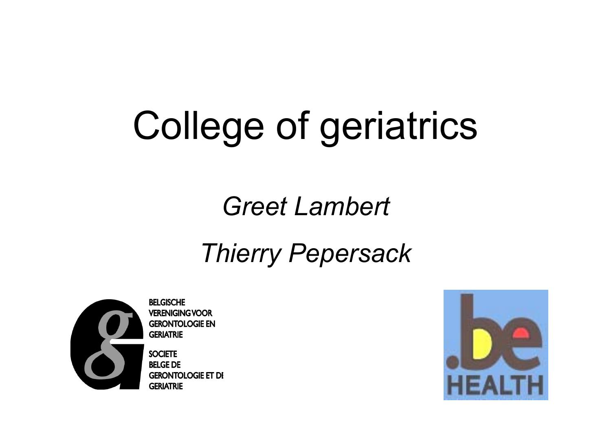# College of geriatrics

# *Greet Lambert*

### *Thierry Pepersack*



**BELGISCHE VERENIGING VOOR GERONTOLOGIE EN GERIATRIE** 

**SOCIETE BELGE DE GERONTOLOGIE ET DI GERIATRIE** 

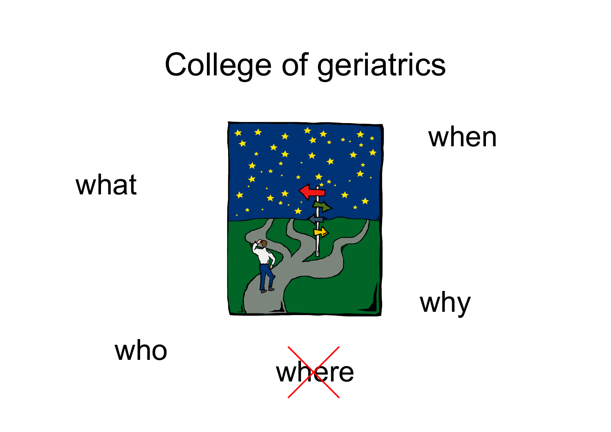# College of geriatrics

#### what



#### when





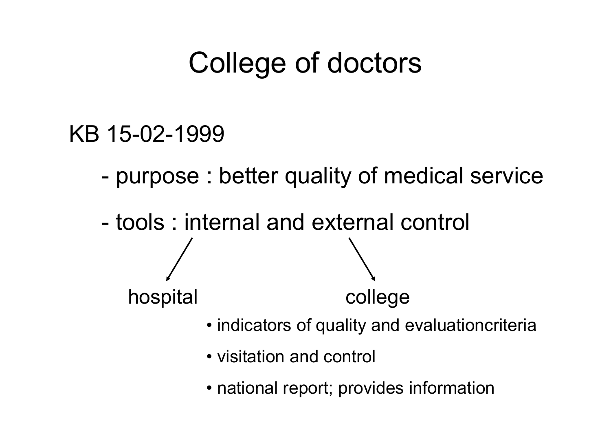## College of doctors

#### KB 15-02-1999

- purpose : better quality of medical service
- tools : internal and external control hospital college
	- indicators of quality and evaluationcriteria
	- visitation and control
	- national report; provides information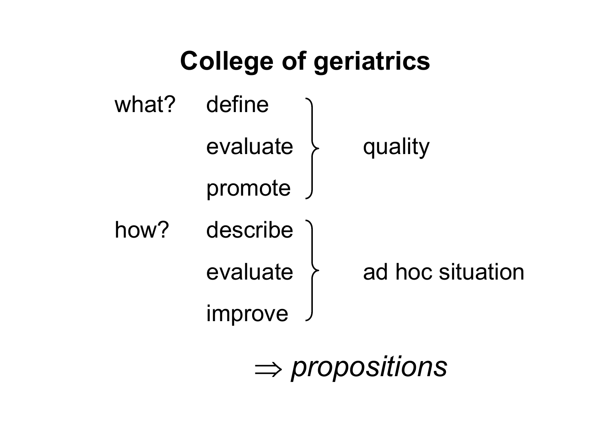

⇒ *propositions*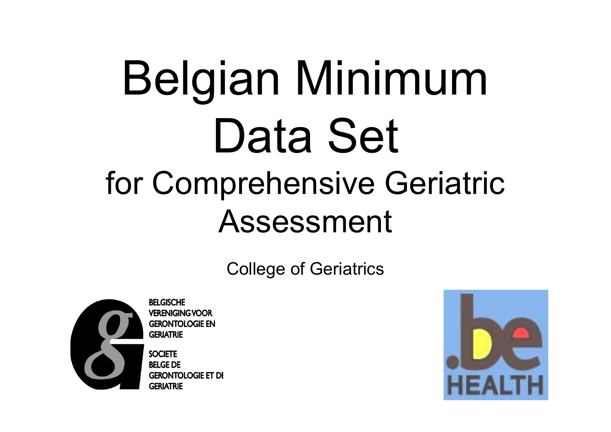# Belgian Minimum Data Set for Comprehensive Geriatric Assessment

College of Geriatrics



**BELGISCHE VERENIGING VOOR GERONTOLOGIE EN GERIATRIE** 

**SOCIETE BELGE DE GERONTOLOGIE ET DI GERIATRIE** 

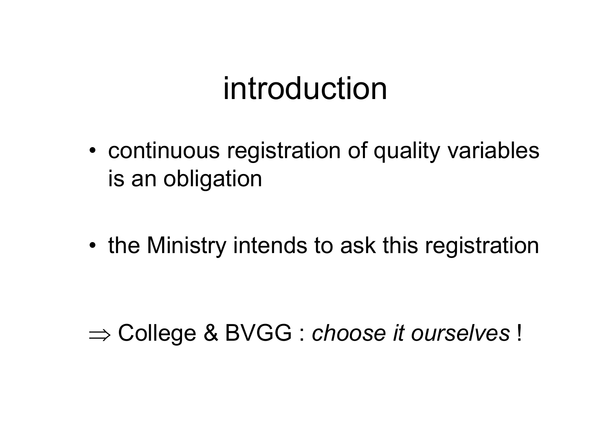# introduction

• continuous registration of quality variables is an obligation

• the Ministry intends to ask this registration

#### ⇒ College & BVGG : *choose it ourselves* !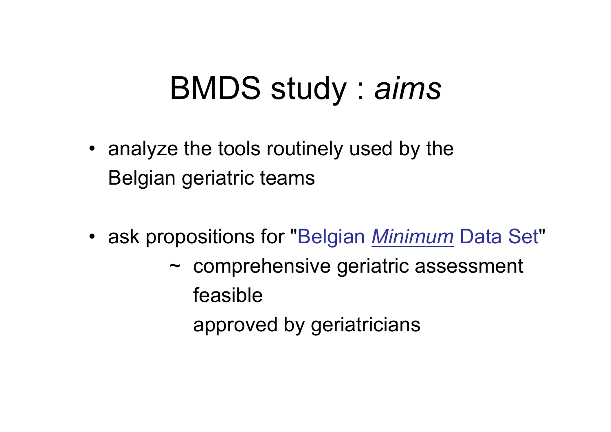# BMDS study : *aims*

- analyze the tools routinely used by the Belgian geriatric teams
- ask propositions for "Belgian *Minimum* Data Set "
	- ~ comprehensive geriatric assessment feasible
		- approved by geriatricians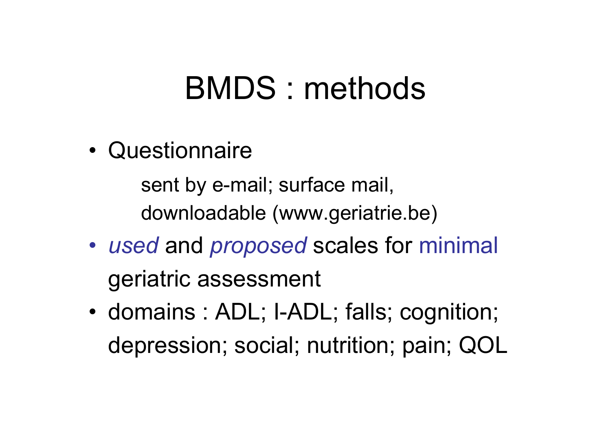# BMDS : methods

•**Questionnaire** 

> sent by e-mail; surface mail, downloadable (www.geriatrie.be)

- *used* and *proposed* scales for minimal geriatric assessment
- • domains : ADL; I-ADL; falls; cognition; depression; social; nutrition; pain; QOL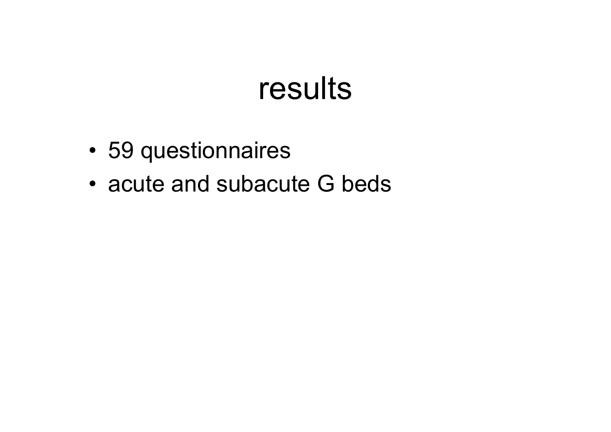## results

- 59 questionnaires
- acute and subacute G beds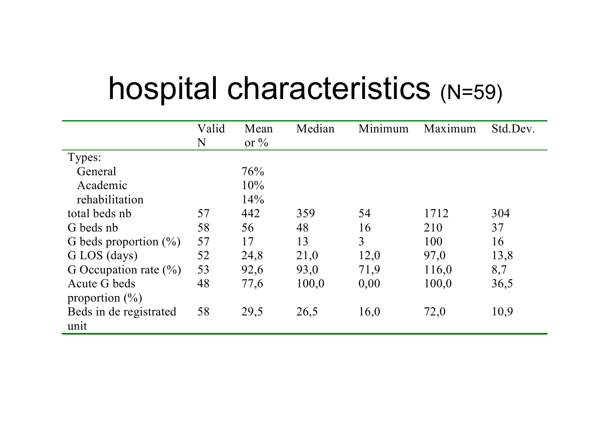# hospital characteristics (N=59)

|                           | Valid | Mean             | Median | Minimum        | Maximum | Std.Dev. |
|---------------------------|-------|------------------|--------|----------------|---------|----------|
|                           | N     | or $\frac{6}{6}$ |        |                |         |          |
| Types:                    |       |                  |        |                |         |          |
| General                   |       | 76%              |        |                |         |          |
| Academic                  |       | 10%              |        |                |         |          |
| rehabilitation            |       | 14%              |        |                |         |          |
| total beds nb             | 57    | 442              | 359    | 54             | 1712    | 304      |
| G beds nb                 | 58    | 56               | 48     | 16             | 210     | 37       |
| G beds proportion $(\%)$  | 57    | 17               | 13     | $\overline{3}$ | 100     | 16       |
| G LOS (days)              | 52    | 24,8             | 21,0   | 12,0           | 97,0    | 13,8     |
| G Occupation rate $(\% )$ | 53    | 92,6             | 93,0   | 71,9           | 116,0   | 8,7      |
| Acute G beds              | 48    | 77,6             | 100,0  | 0,00           | 100,0   | 36,5     |
| proportion $(\% )$        |       |                  |        |                |         |          |
| Beds in de registrated    | 58    | 29,5             | 26,5   | 16,0           | 72,0    | 10,9     |
| unit                      |       |                  |        |                |         |          |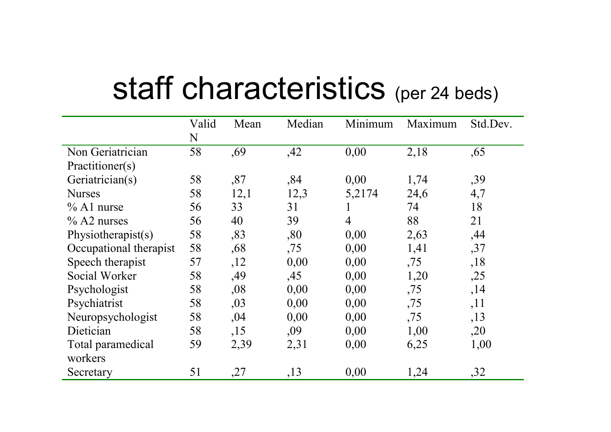# staff characteristics (per 24 beds)

|                        | Valid | Mean | Median | Minimum        | Maximum | Std.Dev. |
|------------------------|-------|------|--------|----------------|---------|----------|
|                        | N     |      |        |                |         |          |
| Non Geriatrician       | 58    | ,69  | ,42    | 0,00           | 2,18    | ,65      |
| Practitioner(s)        |       |      |        |                |         |          |
| Geriatrician(s)        | 58    | ,87  | ,84    | 0,00           | 1,74    | ,39      |
| <b>Nurses</b>          | 58    | 12,1 | 12,3   | 5,2174         | 24,6    | 4,7      |
| $\%$ A1 nurse          | 56    | 33   | 31     | $\bf{l}$       | 74      | 18       |
| $\%$ A2 nurses         | 56    | 40   | 39     | $\overline{4}$ | 88      | 21       |
| Physiotherapist(s)     | 58    | ,83  | ,80    | 0,00           | 2,63    | ,44      |
| Occupational therapist | 58    | ,68  | ,75    | 0,00           | 1,41    | ,37      |
| Speech therapist       | 57    | ,12  | 0,00   | 0,00           | ,75     | ,18      |
| Social Worker          | 58    | ,49  | ,45    | 0,00           | 1,20    | ,25      |
| Psychologist           | 58    | ,08  | 0,00   | 0,00           | ,75     | ,14      |
| Psychiatrist           | 58    | ,03  | 0,00   | 0,00           | ,75     | ,11      |
| Neuropsychologist      | 58    | ,04  | 0,00   | 0,00           | ,75     | , 13     |
| Dietician              | 58    | ,15  | ,09    | 0,00           | 1,00    | ,20      |
| Total paramedical      | 59    | 2,39 | 2,31   | 0,00           | 6,25    | 1,00     |
| workers                |       |      |        |                |         |          |
| Secretary              | 51    | ,27  | ,13    | 0,00           | 1,24    | ,32      |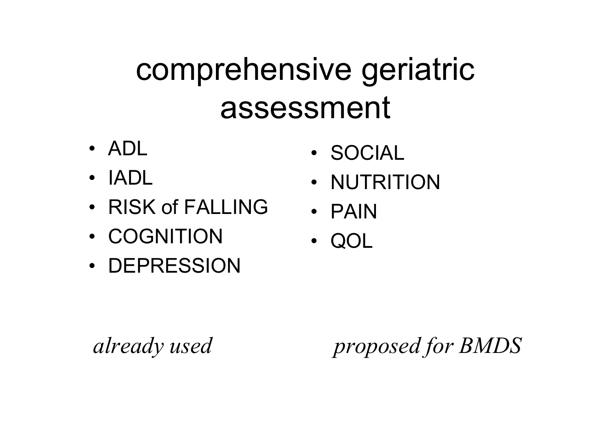# comprehensive geriatric assessment

- ADL
- IADL
- RISK of FALLING
- COGNITION
- DEPRESSION
- SOCIAL
- NUTRITION
- PAIN
- •QOL

*already used proposed for BMDS*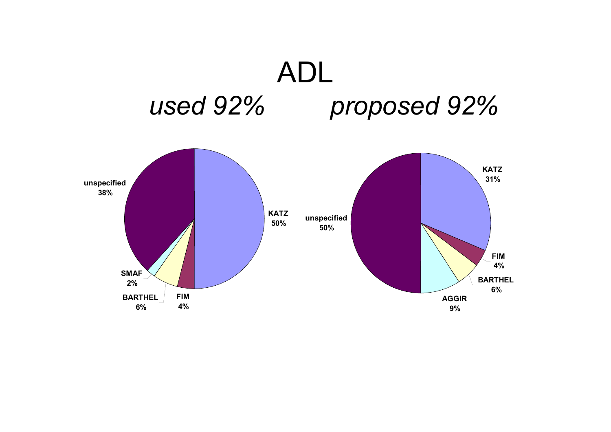## ADL *used 92% proposed 92%*

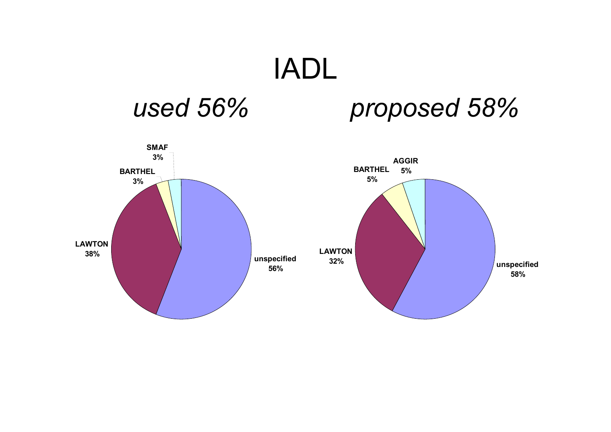# IADL

#### *used 56% proposed 58%*

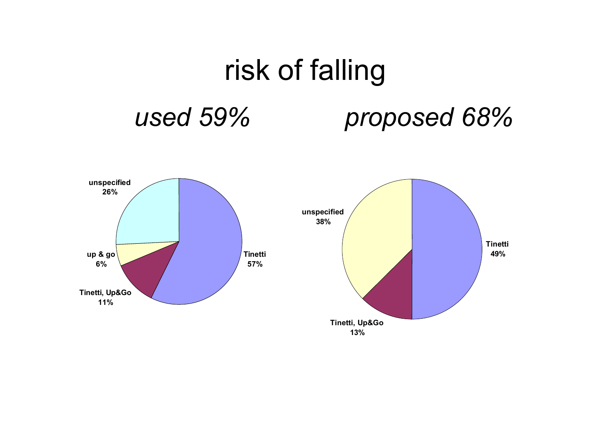

**13%**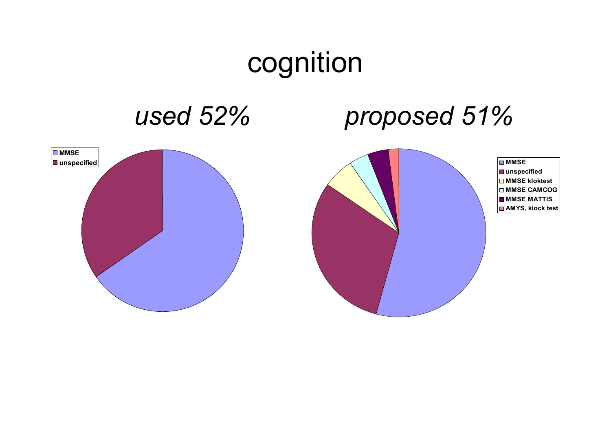### cognition

#### *used 52% proposed 51%*

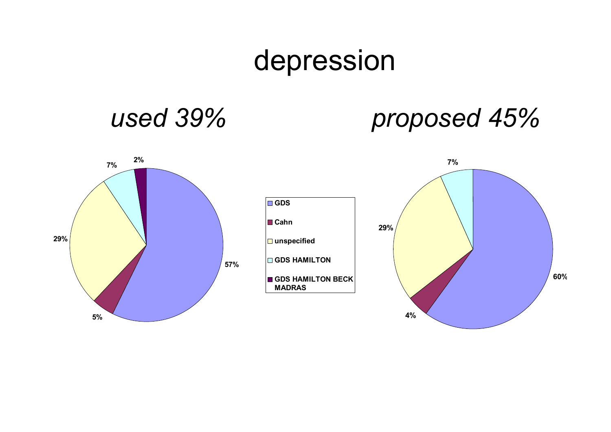### depression

#### *used 39% proposed 45%*

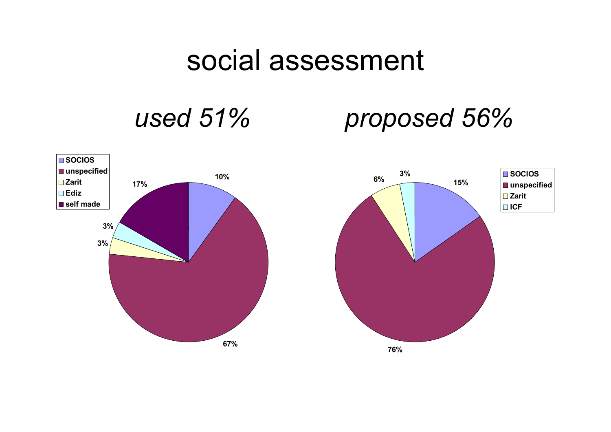#### social assessment

### *used 51% proposed 56%*

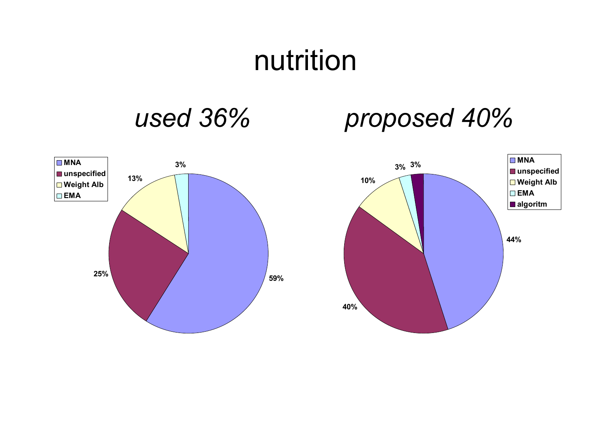#### nutrition

#### *used 36% proposed 40%*



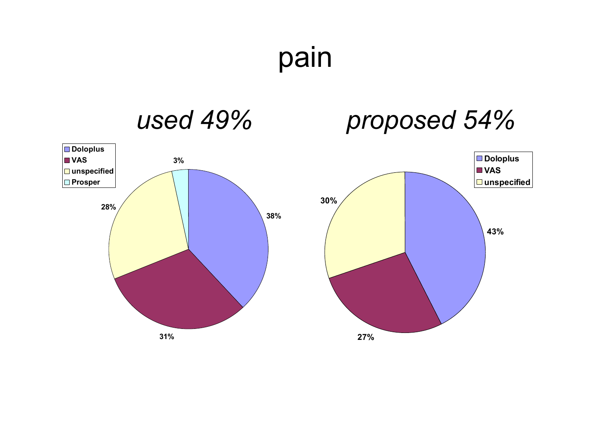pain

#### *used 49% proposed 54%*



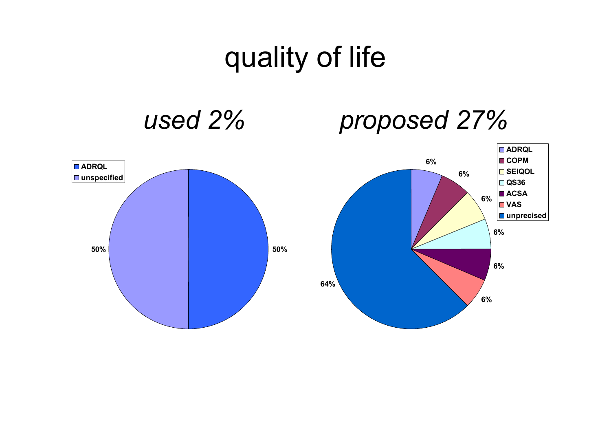### quality of life

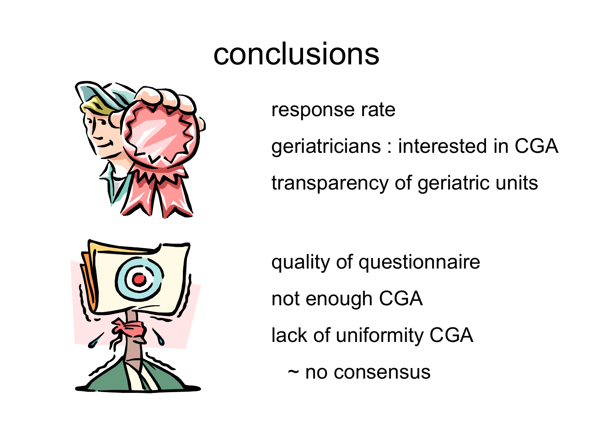# conclusions





response rate

geriatricians : interested in CGA transparency of geriatric units

quality of questionnaire not enough CGA lack of uniformity CGA

~ no consensus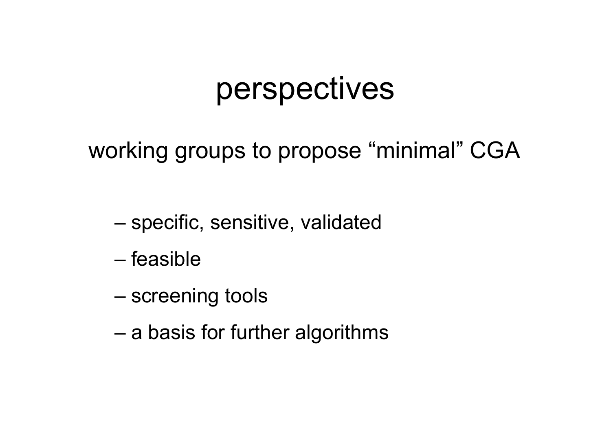## perspectives

working groups to propose "minimal" CGA

- –specific, sensitive, validated
- feasible
- –screening tools
- –a basis for further algorithms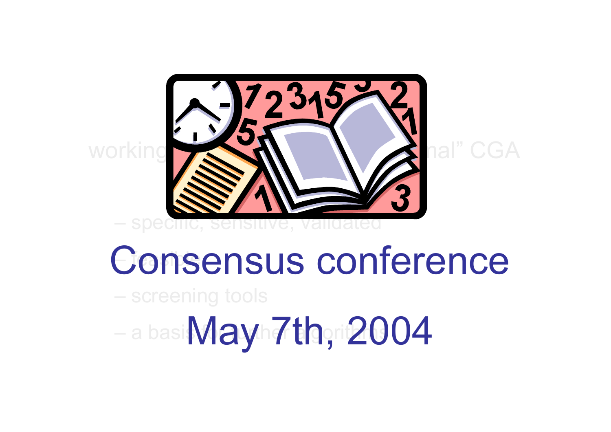

# Consensus conference

screening tools

a basi **MaVh finori ZU** May 7th, 2004